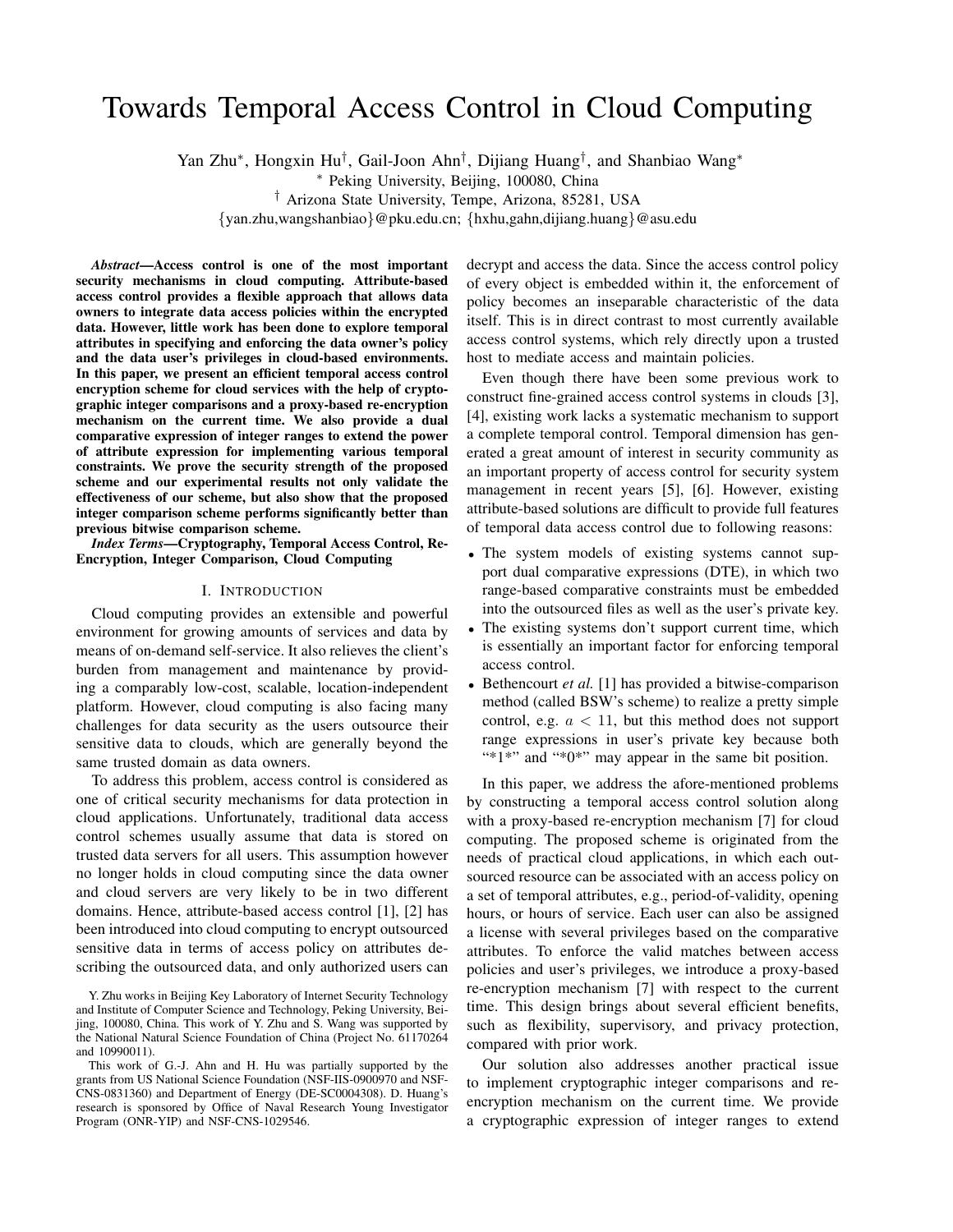# Towards Temporal Access Control in Cloud Computing

Yan Zhu*∗* , Hongxin Hu*†* , Gail-Joon Ahn*†* , Dijiang Huang*†* , and Shanbiao Wang*∗*

*∗* Peking University, Beijing, 100080, China

*†* Arizona State University, Tempe, Arizona, 85281, USA

*{*yan.zhu,wangshanbiao*}*@pku.edu.cn; *{*hxhu,gahn,dijiang.huang*}*@asu.edu

*Abstract*—Access control is one of the most important security mechanisms in cloud computing. Attribute-based access control provides a flexible approach that allows data owners to integrate data access policies within the encrypted data. However, little work has been done to explore temporal attributes in specifying and enforcing the data owner's policy and the data user's privileges in cloud-based environments. In this paper, we present an efficient temporal access control encryption scheme for cloud services with the help of cryptographic integer comparisons and a proxy-based re-encryption mechanism on the current time. We also provide a dual comparative expression of integer ranges to extend the power of attribute expression for implementing various temporal constraints. We prove the security strength of the proposed scheme and our experimental results not only validate the effectiveness of our scheme, but also show that the proposed integer comparison scheme performs significantly better than previous bitwise comparison scheme.

*Index Terms*—Cryptography, Temporal Access Control, Re-Encryption, Integer Comparison, Cloud Computing

#### I. INTRODUCTION

Cloud computing provides an extensible and powerful environment for growing amounts of services and data by means of on-demand self-service. It also relieves the client's burden from management and maintenance by providing a comparably low-cost, scalable, location-independent platform. However, cloud computing is also facing many challenges for data security as the users outsource their sensitive data to clouds, which are generally beyond the same trusted domain as data owners.

To address this problem, access control is considered as one of critical security mechanisms for data protection in cloud applications. Unfortunately, traditional data access control schemes usually assume that data is stored on trusted data servers for all users. This assumption however no longer holds in cloud computing since the data owner and cloud servers are very likely to be in two different domains. Hence, attribute-based access control [1], [2] has been introduced into cloud computing to encrypt outsourced sensitive data in terms of access policy on attributes describing the outsourced data, and only authorized users can decrypt and access the data. Since the access control policy of every object is embedded within it, the enforcement of policy becomes an inseparable characteristic of the data itself. This is in direct contrast to most currently available access control systems, which rely directly upon a trusted host to mediate access and maintain policies.

Even though there have been some previous work to construct fine-grained access control systems in clouds [3], [4], existing work lacks a systematic mechanism to support a complete temporal control. Temporal dimension has generated a great amount of interest in security community as an important property of access control for security system management in recent years [5], [6]. However, existing attribute-based solutions are difficult to provide full features of temporal data access control due to following reasons:

- The system models of existing systems cannot support dual comparative expressions (DTE), in which two range-based comparative constraints must be embedded into the outsourced files as well as the user's private key.
- The existing systems don't support current time, which is essentially an important factor for enforcing temporal access control.
- *•* Bethencourt *et al.* [1] has provided a bitwise-comparison method (called BSW's scheme) to realize a pretty simple control, e.g.  $a < 11$ , but this method does not support range expressions in user's private key because both "\*1\*" and "\*0\*" may appear in the same bit position.

In this paper, we address the afore-mentioned problems by constructing a temporal access control solution along with a proxy-based re-encryption mechanism [7] for cloud computing. The proposed scheme is originated from the needs of practical cloud applications, in which each outsourced resource can be associated with an access policy on a set of temporal attributes, e.g., period-of-validity, opening hours, or hours of service. Each user can also be assigned a license with several privileges based on the comparative attributes. To enforce the valid matches between access policies and user's privileges, we introduce a proxy-based re-encryption mechanism [7] with respect to the current time. This design brings about several efficient benefits, such as flexibility, supervisory, and privacy protection, compared with prior work.

Our solution also addresses another practical issue to implement cryptographic integer comparisons and reencryption mechanism on the current time. We provide a cryptographic expression of integer ranges to extend

Y. Zhu works in Beijing Key Laboratory of Internet Security Technology and Institute of Computer Science and Technology, Peking University, Beijing, 100080, China. This work of Y. Zhu and S. Wang was supported by the National Natural Science Foundation of China (Project No. 61170264 and 10990011).

This work of G.-J. Ahn and H. Hu was partially supported by the grants from US National Science Foundation (NSF-IIS-0900970 and NSF-CNS-0831360) and Department of Energy (DE-SC0004308). D. Huang's research is sponsored by Office of Naval Research Young Investigator Program (ONR-YIP) and NSF-CNS-1029546.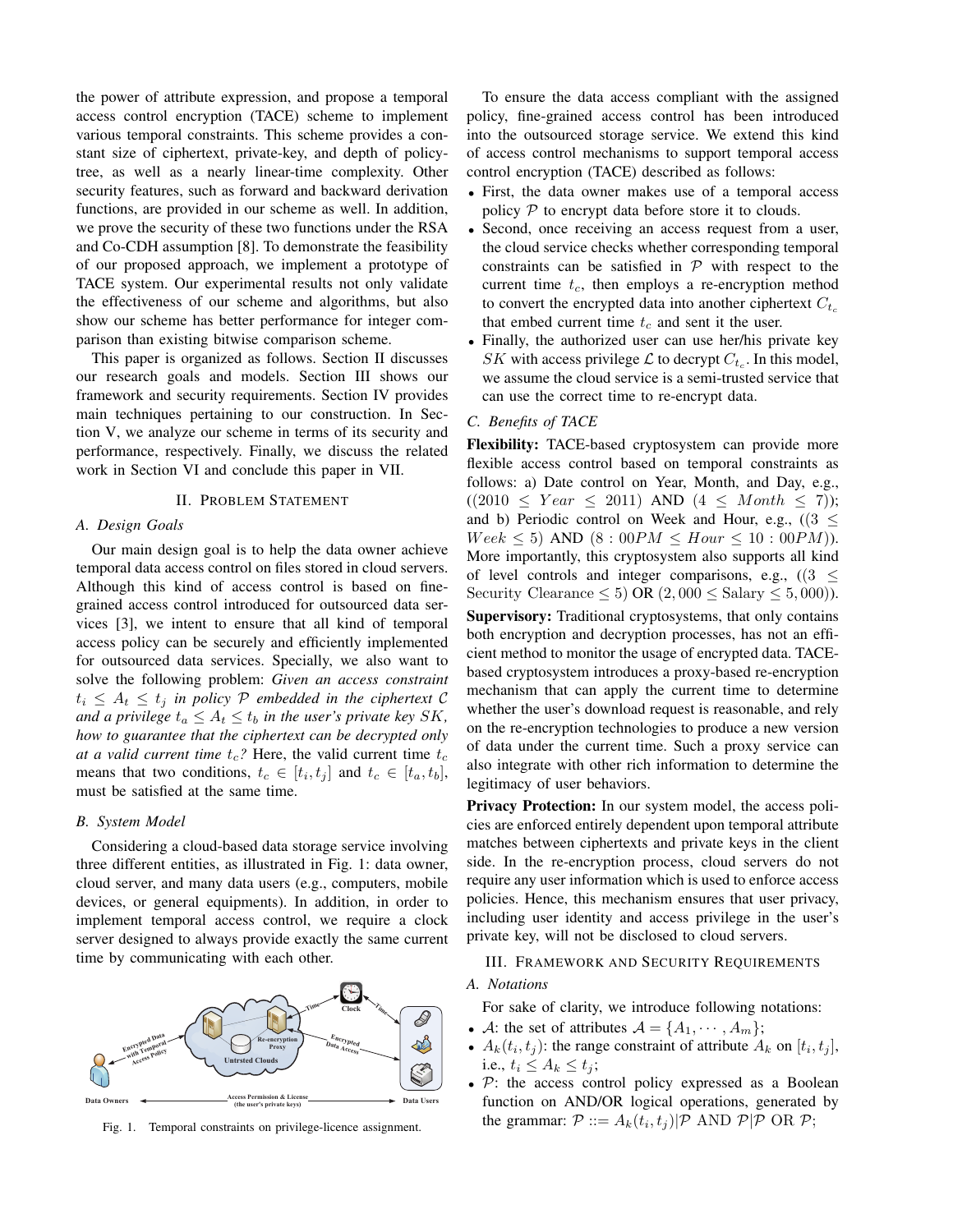the power of attribute expression, and propose a temporal access control encryption (TACE) scheme to implement various temporal constraints. This scheme provides a constant size of ciphertext, private-key, and depth of policytree, as well as a nearly linear-time complexity. Other security features, such as forward and backward derivation functions, are provided in our scheme as well. In addition, we prove the security of these two functions under the RSA and Co-CDH assumption [8]. To demonstrate the feasibility of our proposed approach, we implement a prototype of TACE system. Our experimental results not only validate the effectiveness of our scheme and algorithms, but also show our scheme has better performance for integer comparison than existing bitwise comparison scheme.

This paper is organized as follows. Section II discusses our research goals and models. Section III shows our framework and security requirements. Section IV provides main techniques pertaining to our construction. In Section V, we analyze our scheme in terms of its security and performance, respectively. Finally, we discuss the related work in Section VI and conclude this paper in VII.

#### II. PROBLEM STATEMENT

#### *A. Design Goals*

Our main design goal is to help the data owner achieve temporal data access control on files stored in cloud servers. Although this kind of access control is based on finegrained access control introduced for outsourced data services [3], we intent to ensure that all kind of temporal access policy can be securely and efficiently implemented for outsourced data services. Specially, we also want to solve the following problem: *Given an access constraint*  $t_i \leq A_t \leq t_j$  *in policy*  $P$  *embedded in the ciphertext*  $C$ *and a privilege*  $t_a \leq A_t \leq t_b$  *in the user's private key SK*, *how to guarantee that the ciphertext can be decrypted only at a valid current time*  $t_c$ ? Here, the valid current time  $t_c$ means that two conditions,  $t_c \in [t_i, t_j]$  and  $t_c \in [t_a, t_b]$ , must be satisfied at the same time.

#### *B. System Model*

Considering a cloud-based data storage service involving three different entities, as illustrated in Fig. 1: data owner, cloud server, and many data users (e.g., computers, mobile devices, or general equipments). In addition, in order to implement temporal access control, we require a clock server designed to always provide exactly the same current time by communicating with each other.



Fig. 1. Temporal constraints on privilege-licence assignment.

To ensure the data access compliant with the assigned policy, fine-grained access control has been introduced into the outsourced storage service. We extend this kind of access control mechanisms to support temporal access control encryption (TACE) described as follows:

- *•* First, the data owner makes use of a temporal access policy  $P$  to encrypt data before store it to clouds.
- *•* Second, once receiving an access request from a user, the cloud service checks whether corresponding temporal constraints can be satisfied in  $P$  with respect to the current time  $t_c$ , then employs a re-encryption method to convert the encrypted data into another ciphertext  $C_{t_c}$ that embed current time *t<sup>c</sup>* and sent it the user.
- *•* Finally, the authorized user can use her/his private key *SK* with access privilege  $\mathcal{L}$  to decrypt  $C_{t_c}$ . In this model, we assume the cloud service is a semi-trusted service that can use the correct time to re-encrypt data.

#### *C. Benefits of TACE*

Flexibility: TACE-based cryptosystem can provide more flexible access control based on temporal constraints as follows: a) Date control on Year, Month, and Day, e.g.,  $((2010 \leq \text{Year} \leq 2011) \text{ AND } (4 \leq \text{Month} \leq 7));$ and b) Periodic control on Week and Hour, e.g.,  $(3 \leq$  $Week \leq 5$ ) AND  $(8: 00PM \leq Howr \leq 10: 00PM)$ . More importantly, this cryptosystem also supports all kind of level controls and integer comparisons, e.g., ((3 *≤* Security Clearance  $\leq 5$ ) OR  $(2,000 \leq S_{\text{salary}} \leq 5,000)$ . Supervisory: Traditional cryptosystems, that only contains both encryption and decryption processes, has not an efficient method to monitor the usage of encrypted data. TACEbased cryptosystem introduces a proxy-based re-encryption mechanism that can apply the current time to determine whether the user's download request is reasonable, and rely on the re-encryption technologies to produce a new version of data under the current time. Such a proxy service can also integrate with other rich information to determine the legitimacy of user behaviors.

Privacy Protection: In our system model, the access policies are enforced entirely dependent upon temporal attribute matches between ciphertexts and private keys in the client side. In the re-encryption process, cloud servers do not require any user information which is used to enforce access policies. Hence, this mechanism ensures that user privacy, including user identity and access privilege in the user's private key, will not be disclosed to cloud servers.

# III. FRAMEWORK AND SECURITY REQUIREMENTS

#### *A. Notations*

For sake of clarity, we introduce following notations:

- *A*: the set of attributes  $A = \{A_1, \dots, A_m\}$ ;
- $A_k(t_i, t_j)$ : the range constraint of attribute  $A_k$  on  $[t_i, t_j]$ , i.e.,  $t_i \leq A_k \leq t_j$ ;
- *• P*: the access control policy expressed as a Boolean function on AND/OR logical operations, generated by the grammar:  $P ::= A_k(t_i, t_j) | P \text{ AND } P | P \text{ OR } P;$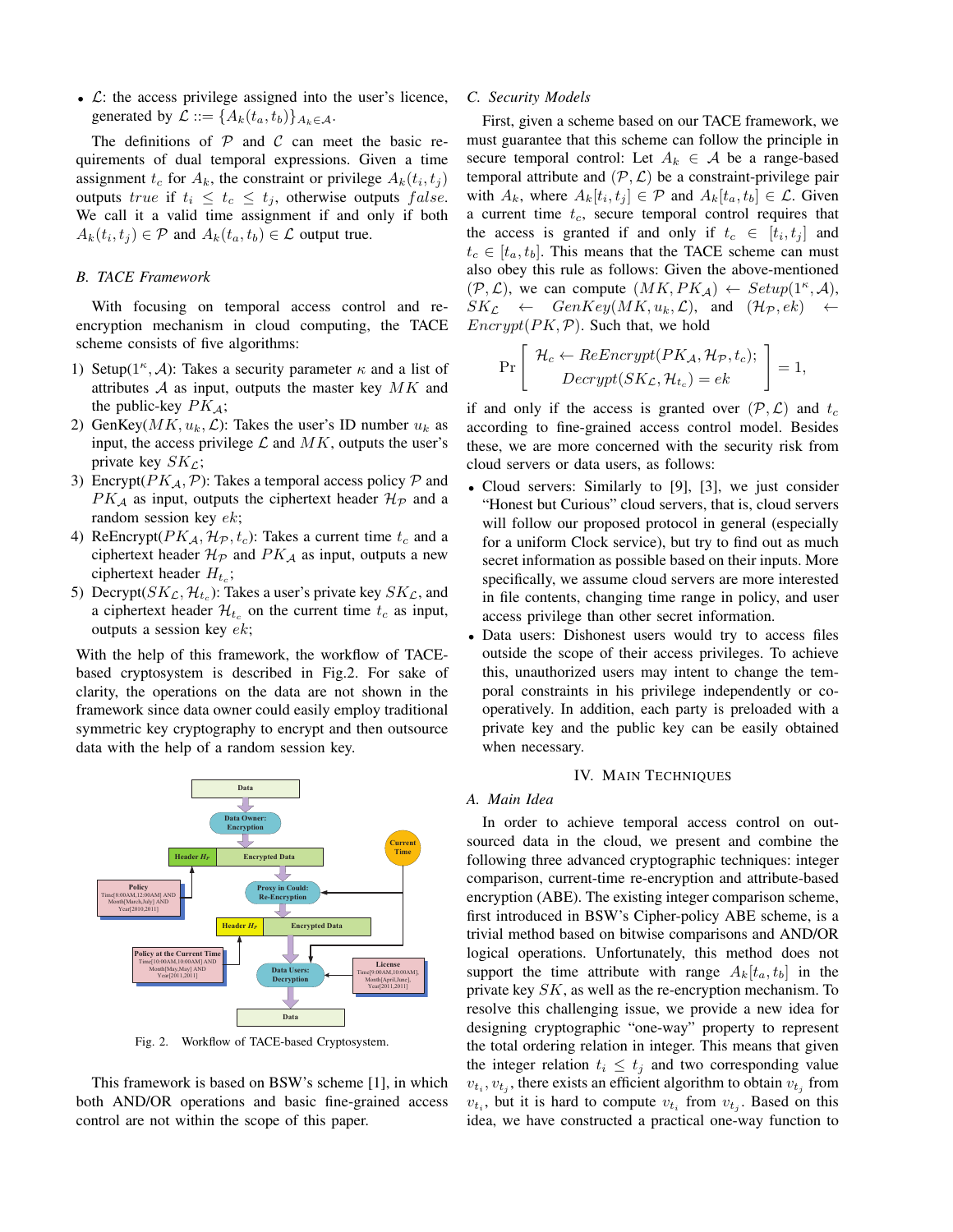*• L*: the access privilege assigned into the user's licence, generated by  $\mathcal{L} ::= \{A_k(t_a, t_b)\}_{A_k \in \mathcal{A}}$ .

The definitions of  $P$  and  $C$  can meet the basic requirements of dual temporal expressions. Given a time assignment  $t_c$  for  $A_k$ , the constraint or privilege  $A_k(t_i, t_j)$ outputs *true* if  $t_i \leq t_c \leq t_j$ , otherwise outputs *false*. We call it a valid time assignment if and only if both  $A_k(t_i, t_j) \in \mathcal{P}$  and  $A_k(t_a, t_b) \in \mathcal{L}$  output true.

#### *B. TACE Framework*

With focusing on temporal access control and reencryption mechanism in cloud computing, the TACE scheme consists of five algorithms:

- 1) Setup( $1^{\kappa}$ , *A*): Takes a security parameter  $\kappa$  and a list of attributes *A* as input, outputs the master key *MK* and the public-key *PKA*;
- 2) GenKey( $MK, u_k, \mathcal{L}$ ): Takes the user's ID number  $u_k$  as input, the access privilege  $\mathcal L$  and  $MK$ , outputs the user's private key *SKL*;
- 3) Encrypt( $PK_A$ ,  $\mathcal{P}$ ): Takes a temporal access policy  $\mathcal P$  and  $PK_A$  as input, outputs the ciphertext header  $H_P$  and a random session key *ek*;
- 4) ReEncrypt( $PK_A$ ,  $H_p$ ,  $t_c$ ): Takes a current time  $t_c$  and a ciphertext header  $\mathcal{H}_{\mathcal{P}}$  and  $PK_{\mathcal{A}}$  as input, outputs a new ciphertext header *H<sup>t</sup><sup>c</sup>* ;
- 5) Decrypt( $SK_{\mathcal{L}}, \mathcal{H}_{t_c}$ ): Takes a user's private key  $SK_{\mathcal{L}}$ , and a ciphertext header  $\mathcal{H}_{t_c}$  on the current time  $t_c$  as input, outputs a session key *ek*;

With the help of this framework, the workflow of TACEbased cryptosystem is described in Fig.2. For sake of clarity, the operations on the data are not shown in the framework since data owner could easily employ traditional symmetric key cryptography to encrypt and then outsource data with the help of a random session key.



Fig. 2. Workflow of TACE-based Cryptosystem.

This framework is based on BSW's scheme [1], in which both AND/OR operations and basic fine-grained access control are not within the scope of this paper.

#### *C. Security Models*

First, given a scheme based on our TACE framework, we must guarantee that this scheme can follow the principle in secure temporal control: Let  $A_k \in \mathcal{A}$  be a range-based temporal attribute and  $(\mathcal{P}, \mathcal{L})$  be a constraint-privilege pair with  $A_k$ , where  $A_k[t_i, t_j] \in \mathcal{P}$  and  $A_k[t_a, t_b] \in \mathcal{L}$ . Given a current time *tc*, secure temporal control requires that the access is granted if and only if  $t_c \in [t_i, t_j]$  and  $t_c \in [t_a, t_b]$ . This means that the TACE scheme can must also obey this rule as follows: Given the above-mentioned  $(\mathcal{P}, \mathcal{L})$ , we can compute  $(MK, PK_{\mathcal{A}}) \leftarrow Setup(1^{\kappa}, \mathcal{A}),$  $SK_{\mathcal{L}} \leftarrow GenKey(MK, u_k, \mathcal{L})$ , and  $(\mathcal{H}_{\mathcal{P}}, ek) \leftarrow$ *Encrypt*(*PK,P*). Such that, we hold

$$
\Pr\left[\begin{array}{c} \mathcal{H}_c \leftarrow ReEnergy(PK_{\mathcal{A}}, \mathcal{H}_{\mathcal{P}}, t_c); \\ Devrypt(SK_{\mathcal{L}}, \mathcal{H}_{t_c}) = ek \end{array}\right] = 1,
$$

if and only if the access is granted over  $(\mathcal{P}, \mathcal{L})$  and  $t_c$ according to fine-grained access control model. Besides these, we are more concerned with the security risk from cloud servers or data users, as follows:

- *•* Cloud servers: Similarly to [9], [3], we just consider "Honest but Curious" cloud servers, that is, cloud servers will follow our proposed protocol in general (especially for a uniform Clock service), but try to find out as much secret information as possible based on their inputs. More specifically, we assume cloud servers are more interested in file contents, changing time range in policy, and user access privilege than other secret information.
- *•* Data users: Dishonest users would try to access files outside the scope of their access privileges. To achieve this, unauthorized users may intent to change the temporal constraints in his privilege independently or cooperatively. In addition, each party is preloaded with a private key and the public key can be easily obtained when necessary.

#### IV. MAIN TECHNIQUES

# *A. Main Idea*

In order to achieve temporal access control on outsourced data in the cloud, we present and combine the following three advanced cryptographic techniques: integer comparison, current-time re-encryption and attribute-based encryption (ABE). The existing integer comparison scheme, first introduced in BSW's Cipher-policy ABE scheme, is a trivial method based on bitwise comparisons and AND/OR logical operations. Unfortunately, this method does not support the time attribute with range  $A_k[t_a, t_b]$  in the private key *SK*, as well as the re-encryption mechanism. To resolve this challenging issue, we provide a new idea for designing cryptographic "one-way" property to represent the total ordering relation in integer. This means that given the integer relation  $t_i \leq t_j$  and two corresponding value  $v_{t_i}, v_{t_j}$ , there exists an efficient algorithm to obtain  $v_{t_j}$  from  $v_{t_i}$ , but it is hard to compute  $v_{t_i}$  from  $v_{t_j}$ . Based on this idea, we have constructed a practical one-way function to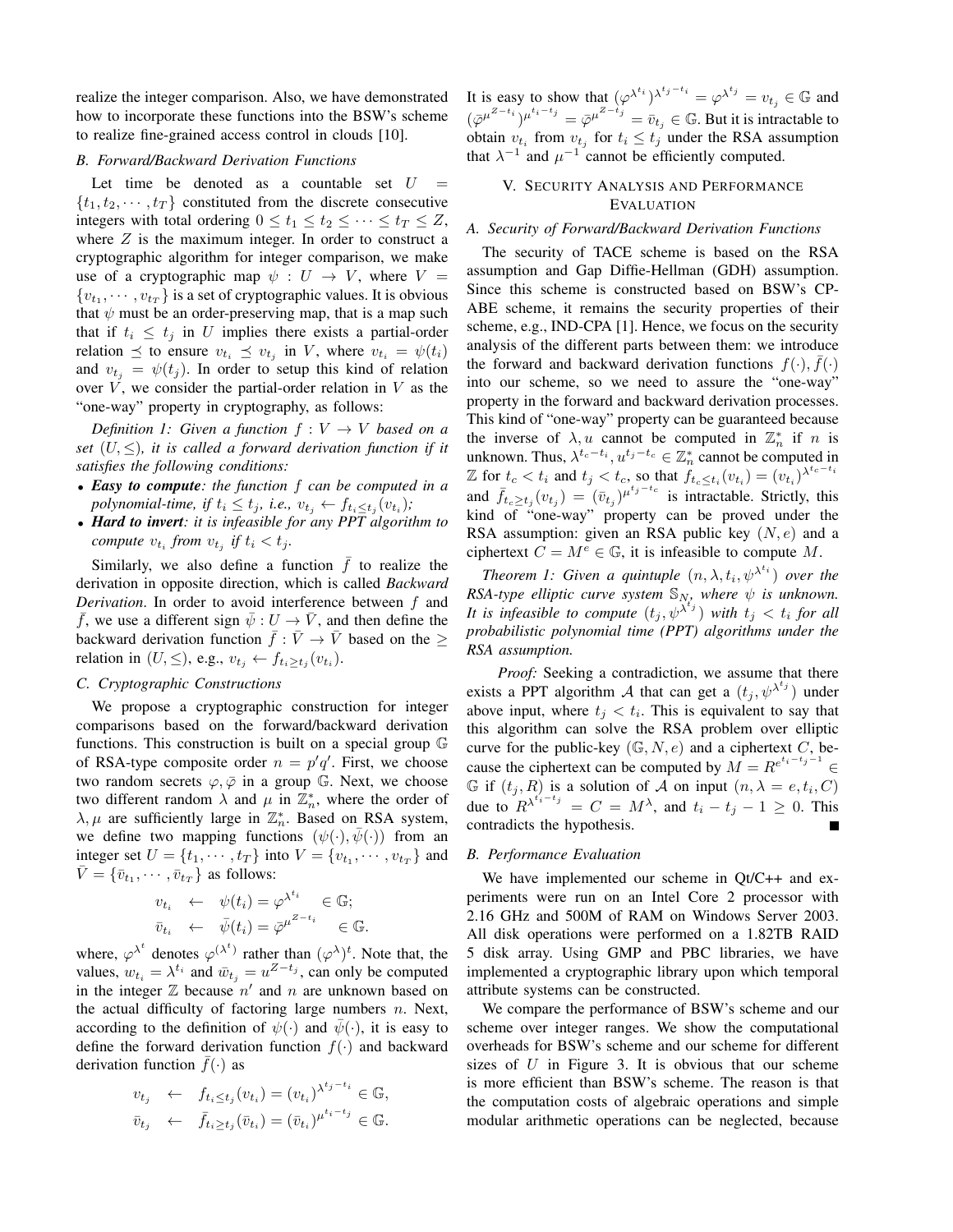realize the integer comparison. Also, we have demonstrated how to incorporate these functions into the BSW's scheme to realize fine-grained access control in clouds [10].

# *B. Forward/Backward Derivation Functions*

Let time be denoted as a countable set  $U =$  ${t_1, t_2, \cdots, t_T}$  constituted from the discrete consecutive integers with total ordering  $0 \le t_1 \le t_2 \le \cdots \le t_T \le Z$ , where  $Z$  is the maximum integer. In order to construct a cryptographic algorithm for integer comparison, we make use of a cryptographic map  $\psi : U \to V$ , where  $V =$  $\{v_{t_1}, \dots, v_{t_T}\}\$ is a set of cryptographic values. It is obvious that  $\psi$  must be an order-preserving map, that is a map such that if  $t_i \leq t_j$  in *U* implies there exists a partial-order relation  $\leq$  to ensure  $v_{t_i} \leq v_{t_j}$  in *V*, where  $v_{t_i} = \psi(t_i)$ and  $v_{t_i} = \psi(t_i)$ . In order to setup this kind of relation over  $V$ , we consider the partial-order relation in  $V$  as the "one-way" property in cryptography, as follows:

*Definition 1: Given a function*  $f: V \rightarrow V$  *based on a set* (*U, ≤*)*, it is called a forward derivation function if it satisfies the following conditions:*

- *• Easy to compute: the function f can be computed in a polynomial-time, if*  $t_i \leq t_j$ *, i.e.,*  $v_{t_j} \leftarrow f_{t_i \leq t_j}(v_{t_i})$ *;*
- *• Hard to invert: it is infeasible for any PPT algorithm to compute*  $v_{t_i}$  *from*  $v_{t_j}$  *if*  $t_i < t_j$ .

Similarly, we also define a function  $\bar{f}$  to realize the derivation in opposite direction, which is called *Backward Derivation*. In order to avoid interference between *f* and  $\bar{f}$ , we use a different sign  $\bar{\psi}: U \to \bar{V}$ , and then define the backward derivation function  $\bar{f}: \bar{V} \to \bar{V}$  based on the  $\geq$ relation in  $(U, \leq)$ , e.g.,  $v_{t_j} \leftarrow f_{t_i \geq t_j}(v_{t_i})$ .

# *C. Cryptographic Constructions*

We propose a cryptographic construction for integer comparisons based on the forward/backward derivation functions. This construction is built on a special group G of RSA-type composite order  $n = p'q'$ . First, we choose two random secrets  $\varphi, \bar{\varphi}$  in a group G. Next, we choose two different random  $\lambda$  and  $\mu$  in  $\mathbb{Z}_n^*$ , where the order of  $\lambda, \mu$  are sufficiently large in  $\mathbb{Z}_n^*$ . Based on RSA system, we define two mapping functions  $(\psi(\cdot), \psi(\cdot))$  from an integer set  $U = \{t_1, \dots, t_T\}$  into  $V = \{v_{t_1}, \dots, v_{t_T}\}$  and  $\bar{V} = {\bar{v}_{t_1}, \cdots, \bar{v}_{t_T}}$  as follows:

$$
v_{t_i} \leftarrow \psi(t_i) = \varphi^{\lambda^{t_i}} \in \mathbb{G};
$$
  
\n
$$
\bar{v}_{t_i} \leftarrow \bar{\psi}(t_i) = \bar{\varphi}^{\mu^{Z-t_i}} \in \mathbb{G}.
$$

where,  $\varphi^{\lambda^t}$  denotes  $\varphi^{(\lambda^t)}$  rather than  $(\varphi^{\lambda})^t$ . Note that, the values,  $w_{t_i} = \lambda^{t_i}$  and  $\bar{w}_{t_j} = u^{Z-t_j}$ , can only be computed in the integer  $\mathbb Z$  because  $n'$  and  $n$  are unknown based on the actual difficulty of factoring large numbers *n*. Next, according to the definition of  $\psi(\cdot)$  and  $\bar{\psi}(\cdot)$ , it is easy to define the forward derivation function *f*(*·*) and backward derivation function  $\bar{f}(\cdot)$  as

$$
v_{t_j} \leftarrow f_{t_i \le t_j}(v_{t_i}) = (v_{t_i})^{\lambda^{t_j - t_i}} \in \mathbb{G},
$$
  

$$
\bar{v}_{t_j} \leftarrow \bar{f}_{t_i \ge t_j}(\bar{v}_{t_i}) = (\bar{v}_{t_i})^{\mu^{t_i - t_j}} \in \mathbb{G}.
$$

It is easy to show that  $(\varphi^{\lambda^{t_i}})^{\lambda^{t_j - t_i}} = \varphi^{\lambda^{t_j}} = v_{t_j} \in \mathbb{G}$  and  $(\bar{\varphi}^{\mu^{Z-t_i}})^{\mu^{t_i-t_j}} = \bar{\varphi}^{\mu^{Z-t_j}} = \bar{v}_{t_j} \in \mathbb{G}$ . But it is intractable to obtain  $v_{t_i}$  from  $v_{t_j}$  for  $t_i \leq t_j$  under the RSA assumption that  $\lambda^{-1}$  and  $\mu^{-1}$  cannot be efficiently computed.

# V. SECURITY ANALYSIS AND PERFORMANCE EVALUATION

# *A. Security of Forward/Backward Derivation Functions*

The security of TACE scheme is based on the RSA assumption and Gap Diffie-Hellman (GDH) assumption. Since this scheme is constructed based on BSW's CP-ABE scheme, it remains the security properties of their scheme, e.g., IND-CPA [1]. Hence, we focus on the security analysis of the different parts between them: we introduce the forward and backward derivation functions  $f(\cdot), \bar{f}(\cdot)$ into our scheme, so we need to assure the "one-way" property in the forward and backward derivation processes. This kind of "one-way" property can be guaranteed because the inverse of  $\lambda$ , *u* cannot be computed in  $\mathbb{Z}_n^*$  if *n* is unknown. Thus,  $\lambda^{t_c-t_i}$ ,  $u^{t_j-t_c} \in \mathbb{Z}_n^*$  cannot be computed in  $\mathbb{Z}$  for  $t_c < t_i$  and  $t_j < t_c$ , so that  $f_{t_c \leq t_i}(v_{t_i}) = (v_{t_i})^{\lambda^{t_c - t_i}}$ and  $\bar{f}_{t_c \ge t_j}(v_{t_j}) = (\bar{v}_{t_j})^{\mu^{t_j - t_c}}$  is intractable. Strictly, this kind of "one-way" property can be proved under the RSA assumption: given an RSA public key (*N, e*) and a ciphertext  $C = M^e \in \mathbb{G}$ , it is infeasible to compute M.

*Theorem 1: Given a quintuple*  $(n, \lambda, t_i, \psi^{\lambda^{t_i}})$  *over the RSA-type elliptic curve system*  $\mathbb{S}_N$ *, where*  $\psi$  *is unknown. It is infeasible to compute*  $(t_j, \psi^{\lambda^{t_j}})$  *with*  $t_j < t_i$  *for all probabilistic polynomial time (PPT) algorithms under the RSA assumption.*

*Proof:* Seeking a contradiction, we assume that there exists a PPT algorithm *A* that can get a  $(t_j, \psi^{\lambda^{t_j}})$  under above input, where  $t_j < t_i$ . This is equivalent to say that this algorithm can solve the RSA problem over elliptic curve for the public-key  $(\mathbb{G}, N, e)$  and a ciphertext *C*, because the ciphertext can be computed by  $M = R^{e^{t_i - t_j - 1}} \in$ G if  $(t_j, R)$  is a solution of A on input  $(n, \lambda = e, t_i, C)$ due to  $R^{\lambda^{t_i-t_j}} = C = M^{\lambda}$ , and  $t_i - t_j - 1 \geq 0$ . This contradicts the hypothesis.

### *B. Performance Evaluation*

We have implemented our scheme in Ot/C++ and experiments were run on an Intel Core 2 processor with 2.16 GHz and 500M of RAM on Windows Server 2003. All disk operations were performed on a 1.82TB RAID 5 disk array. Using GMP and PBC libraries, we have implemented a cryptographic library upon which temporal attribute systems can be constructed.

We compare the performance of BSW's scheme and our scheme over integer ranges. We show the computational overheads for BSW's scheme and our scheme for different sizes of *U* in Figure 3. It is obvious that our scheme is more efficient than BSW's scheme. The reason is that the computation costs of algebraic operations and simple modular arithmetic operations can be neglected, because